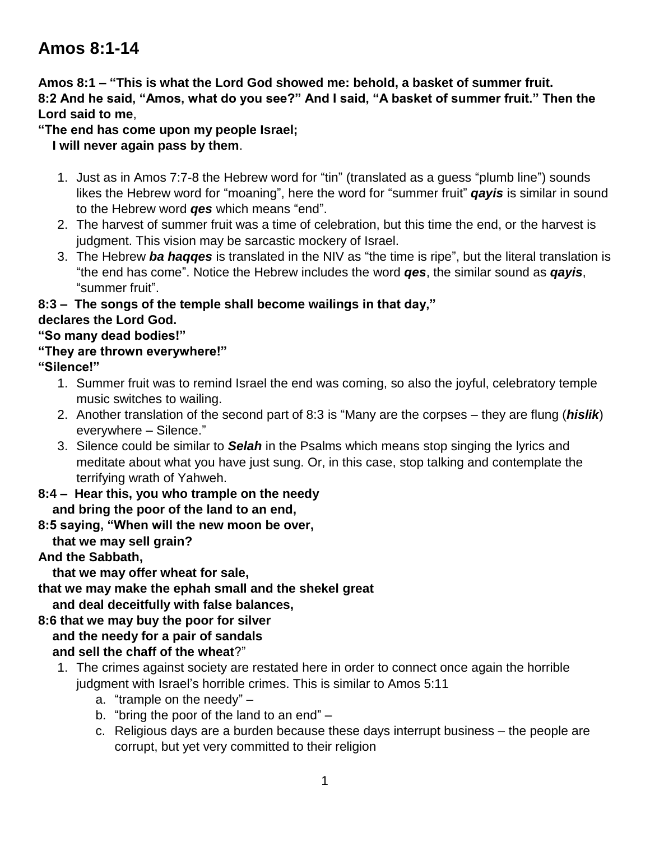# **Amos 8:1-14**

**Amos 8:1 – "This is what the Lord God showed me: behold, a basket of summer fruit. 8:2 And he said, "Amos, what do you see?" And I said, "A basket of summer fruit." Then the Lord said to me**,

**"The end has come upon my people Israel;**

 **I will never again pass by them**.

- 1. Just as in Amos 7:7-8 the Hebrew word for "tin" (translated as a guess "plumb line") sounds likes the Hebrew word for "moaning", here the word for "summer fruit" *qayis* is similar in sound to the Hebrew word *qes* which means "end".
- 2. The harvest of summer fruit was a time of celebration, but this time the end, or the harvest is judgment. This vision may be sarcastic mockery of Israel.
- 3. The Hebrew *ba haqqes* is translated in the NIV as "the time is ripe", but the literal translation is "the end has come". Notice the Hebrew includes the word *qes*, the similar sound as *qayis*, "summer fruit".

#### **8:3 – The songs of the temple shall become wailings in that day," declares the Lord God.**

#### **"So many dead bodies!"**

#### **"They are thrown everywhere!"**

**"Silence!"**

- 1. Summer fruit was to remind Israel the end was coming, so also the joyful, celebratory temple music switches to wailing.
- 2. Another translation of the second part of 8:3 is "Many are the corpses they are flung (*hislik*) everywhere – Silence."
- 3. Silence could be similar to *Selah* in the Psalms which means stop singing the lyrics and meditate about what you have just sung. Or, in this case, stop talking and contemplate the terrifying wrath of Yahweh.
- **8:4 – Hear this, you who trample on the needy and bring the poor of the land to an end,**
- **8:5 saying, "When will the new moon be over, that we may sell grain?**

## **And the Sabbath,**

 **that we may offer wheat for sale,**

**that we may make the ephah small and the shekel great**

 **and deal deceitfully with false balances,**

**8:6 that we may buy the poor for silver and the needy for a pair of sandals and sell the chaff of the wheat**?"

- 1. The crimes against society are restated here in order to connect once again the horrible judgment with Israel's horrible crimes. This is similar to Amos 5:11
	- a. "trample on the needy" –
	- b. "bring the poor of the land to an end" –
	- c. Religious days are a burden because these days interrupt business the people are corrupt, but yet very committed to their religion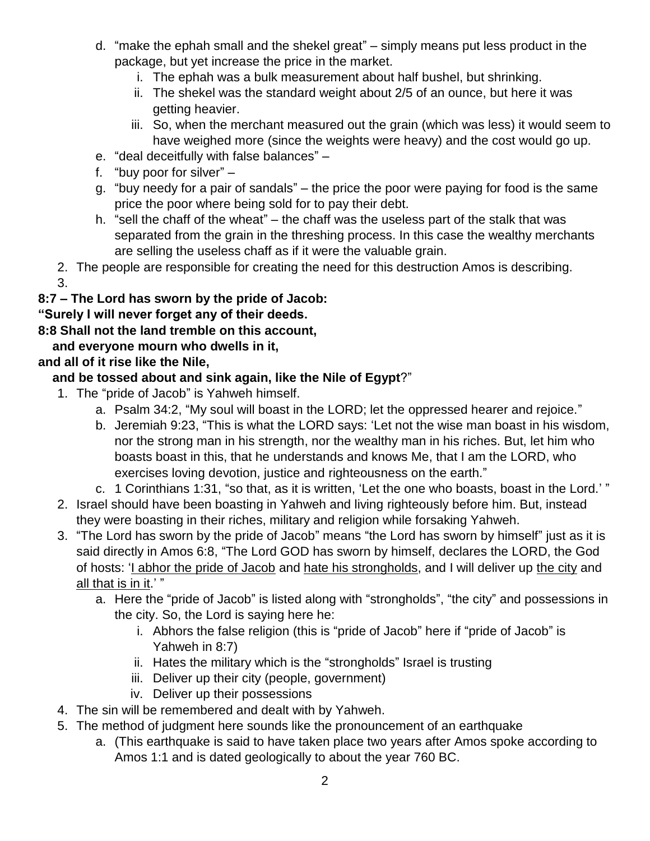- d. "make the ephah small and the shekel great" simply means put less product in the package, but yet increase the price in the market.
	- i. The ephah was a bulk measurement about half bushel, but shrinking.
	- ii. The shekel was the standard weight about 2/5 of an ounce, but here it was getting heavier.
	- iii. So, when the merchant measured out the grain (which was less) it would seem to have weighed more (since the weights were heavy) and the cost would go up.
- e. "deal deceitfully with false balances" –
- f. "buy poor for silver" –
- g. "buy needy for a pair of sandals" the price the poor were paying for food is the same price the poor where being sold for to pay their debt.
- h. "sell the chaff of the wheat" the chaff was the useless part of the stalk that was separated from the grain in the threshing process. In this case the wealthy merchants are selling the useless chaff as if it were the valuable grain.
- 2. The people are responsible for creating the need for this destruction Amos is describing. 3.

#### **8:7 – The Lord has sworn by the pride of Jacob:**

**"Surely I will never forget any of their deeds.**

**8:8 Shall not the land tremble on this account,**

 **and everyone mourn who dwells in it,**

## **and all of it rise like the Nile,**

## **and be tossed about and sink again, like the Nile of Egypt**?"

- 1. The "pride of Jacob" is Yahweh himself.
	- a. Psalm 34:2, "My soul will boast in the LORD; let the oppressed hearer and rejoice."
	- b. Jeremiah 9:23, "This is what the LORD says: 'Let not the wise man boast in his wisdom, nor the strong man in his strength, nor the wealthy man in his riches. But, let him who boasts boast in this, that he understands and knows Me, that I am the LORD, who exercises loving devotion, justice and righteousness on the earth."
	- c. 1 Corinthians 1:31, "so that, as it is written, 'Let the one who boasts, boast in the Lord.' "
- 2. Israel should have been boasting in Yahweh and living righteously before him. But, instead they were boasting in their riches, military and religion while forsaking Yahweh.
- 3. "The Lord has sworn by the pride of Jacob" means "the Lord has sworn by himself" just as it is said directly in Amos 6:8, "The Lord GOD has sworn by himself, declares the LORD, the God of hosts: 'I abhor the pride of Jacob and hate his strongholds, and I will deliver up the city and all that is in it.'"
	- a. Here the "pride of Jacob" is listed along with "strongholds", "the city" and possessions in the city. So, the Lord is saying here he:
		- i. Abhors the false religion (this is "pride of Jacob" here if "pride of Jacob" is Yahweh in 8:7)
		- ii. Hates the military which is the "strongholds" Israel is trusting
		- iii. Deliver up their city (people, government)
		- iv. Deliver up their possessions
- 4. The sin will be remembered and dealt with by Yahweh.
- 5. The method of judgment here sounds like the pronouncement of an earthquake
	- a. (This earthquake is said to have taken place two years after Amos spoke according to Amos 1:1 and is dated geologically to about the year 760 BC.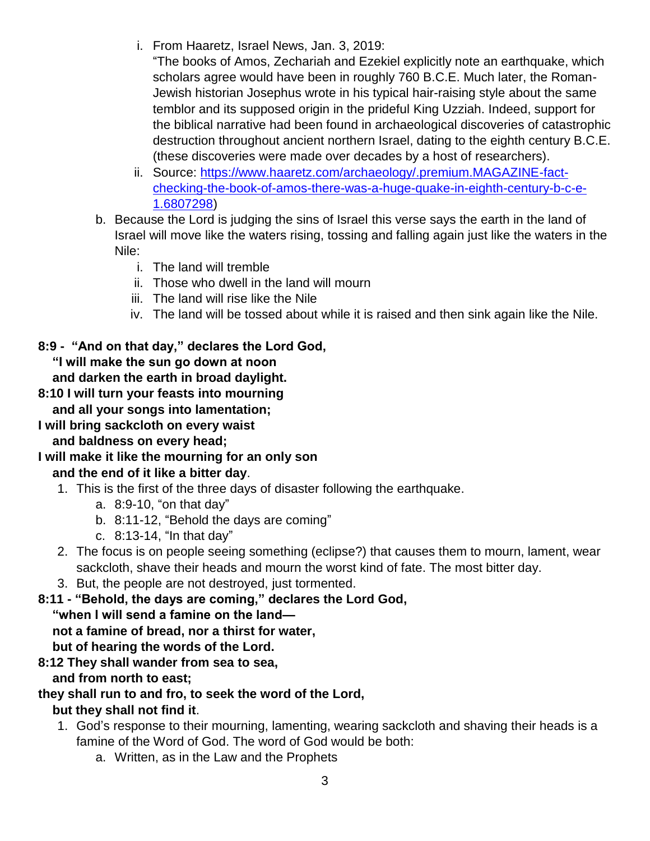- i. From Haaretz, Israel News, Jan. 3, 2019:
	- "The books of Amos, Zechariah and Ezekiel explicitly note an earthquake, which scholars agree would have been in roughly 760 B.C.E. Much later, the Roman-Jewish historian Josephus wrote in his typical hair-raising style about the same temblor and its supposed origin in the prideful King Uzziah. Indeed, support for the biblical narrative had been found in archaeological discoveries of catastrophic destruction throughout ancient northern Israel, dating to the eighth century B.C.E. (these discoveries were made over decades by a host of researchers).
- ii. Source: [https://www.haaretz.com/archaeology/.premium.MAGAZINE-fact](https://www.haaretz.com/archaeology/.premium.MAGAZINE-fact-checking-the-book-of-amos-there-was-a-huge-quake-in-eighth-century-b-c-e-1.6807298)[checking-the-book-of-amos-there-was-a-huge-quake-in-eighth-century-b-c-e-](https://www.haaretz.com/archaeology/.premium.MAGAZINE-fact-checking-the-book-of-amos-there-was-a-huge-quake-in-eighth-century-b-c-e-1.6807298)[1.6807298\)](https://www.haaretz.com/archaeology/.premium.MAGAZINE-fact-checking-the-book-of-amos-there-was-a-huge-quake-in-eighth-century-b-c-e-1.6807298)
- b. Because the Lord is judging the sins of Israel this verse says the earth in the land of Israel will move like the waters rising, tossing and falling again just like the waters in the Nile:
	- i. The land will tremble
	- ii. Those who dwell in the land will mourn
	- iii. The land will rise like the Nile
	- iv. The land will be tossed about while it is raised and then sink again like the Nile.

#### **8:9 - "And on that day," declares the Lord God, "I will make the sun go down at noon and darken the earth in broad daylight.**

- **8:10 I will turn your feasts into mourning and all your songs into lamentation;**
- **I will bring sackcloth on every waist and baldness on every head;**
- **I will make it like the mourning for an only son**

## **and the end of it like a bitter day**.

- 1. This is the first of the three days of disaster following the earthquake.
	- a. 8:9-10, "on that day"
	- b. 8:11-12, "Behold the days are coming"
	- c. 8:13-14, "In that day"
- 2. The focus is on people seeing something (eclipse?) that causes them to mourn, lament, wear sackcloth, shave their heads and mourn the worst kind of fate. The most bitter day.
- 3. But, the people are not destroyed, just tormented.
- **8:11 - "Behold, the days are coming," declares the Lord God,**

 **"when I will send a famine on the land—**

 **not a famine of bread, nor a thirst for water,**

 **but of hearing the words of the Lord.**

# **8:12 They shall wander from sea to sea,**

 **and from north to east;**

## **they shall run to and fro, to seek the word of the Lord,**

## **but they shall not find it**.

- 1. God's response to their mourning, lamenting, wearing sackcloth and shaving their heads is a famine of the Word of God. The word of God would be both:
	- a. Written, as in the Law and the Prophets